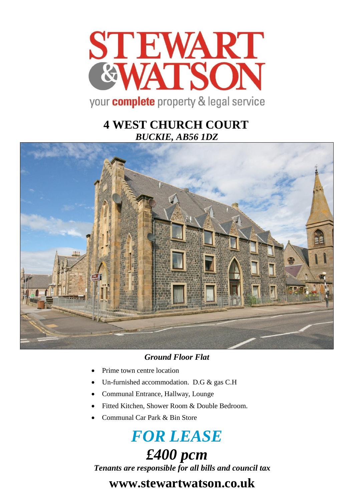

## **4 WEST CHURCH COURT** *BUCKIE, AB56 1DZ*



### *Ground Floor Flat*

- Prime town centre location
- Un-furnished accommodation. D.G & gas C.H
- Communal Entrance, Hallway, Lounge
- Fitted Kitchen, Shower Room & Double Bedroom.
- Communal Car Park & Bin Store

# *FOR LEASE £400 pcm*

*Tenants are responsible for all bills and council tax*

## **www.stewartwatson.co.uk**